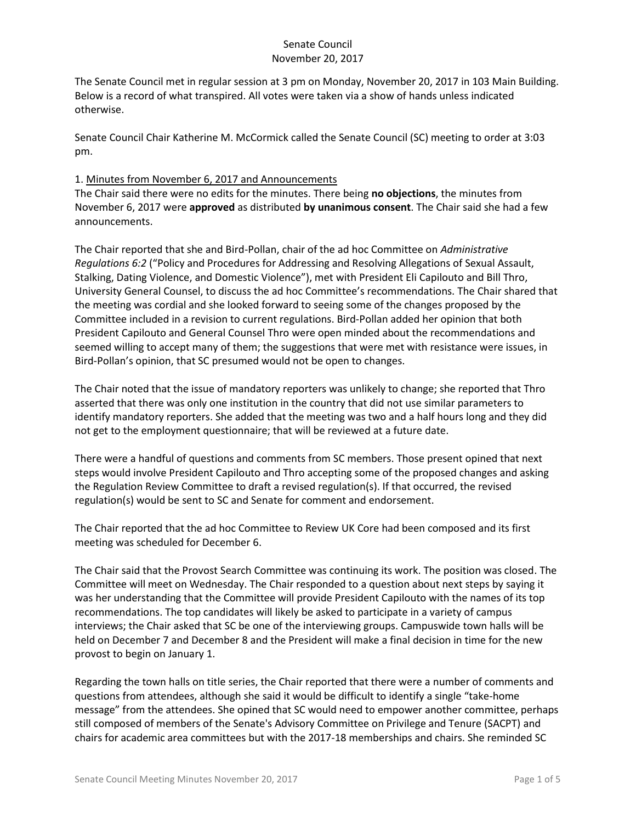The Senate Council met in regular session at 3 pm on Monday, November 20, 2017 in 103 Main Building. Below is a record of what transpired. All votes were taken via a show of hands unless indicated otherwise.

Senate Council Chair Katherine M. McCormick called the Senate Council (SC) meeting to order at 3:03 pm.

### 1. Minutes from November 6, 2017 and Announcements

The Chair said there were no edits for the minutes. There being **no objections**, the minutes from November 6, 2017 were **approved** as distributed **by unanimous consent**. The Chair said she had a few announcements.

The Chair reported that she and Bird-Pollan, chair of the ad hoc Committee on *Administrative Regulations 6:2* ("Policy and Procedures for Addressing and Resolving Allegations of Sexual Assault, Stalking, Dating Violence, and Domestic Violence"), met with President Eli Capilouto and Bill Thro, University General Counsel, to discuss the ad hoc Committee's recommendations. The Chair shared that the meeting was cordial and she looked forward to seeing some of the changes proposed by the Committee included in a revision to current regulations. Bird-Pollan added her opinion that both President Capilouto and General Counsel Thro were open minded about the recommendations and seemed willing to accept many of them; the suggestions that were met with resistance were issues, in Bird-Pollan's opinion, that SC presumed would not be open to changes.

The Chair noted that the issue of mandatory reporters was unlikely to change; she reported that Thro asserted that there was only one institution in the country that did not use similar parameters to identify mandatory reporters. She added that the meeting was two and a half hours long and they did not get to the employment questionnaire; that will be reviewed at a future date.

There were a handful of questions and comments from SC members. Those present opined that next steps would involve President Capilouto and Thro accepting some of the proposed changes and asking the Regulation Review Committee to draft a revised regulation(s). If that occurred, the revised regulation(s) would be sent to SC and Senate for comment and endorsement.

The Chair reported that the ad hoc Committee to Review UK Core had been composed and its first meeting was scheduled for December 6.

The Chair said that the Provost Search Committee was continuing its work. The position was closed. The Committee will meet on Wednesday. The Chair responded to a question about next steps by saying it was her understanding that the Committee will provide President Capilouto with the names of its top recommendations. The top candidates will likely be asked to participate in a variety of campus interviews; the Chair asked that SC be one of the interviewing groups. Campuswide town halls will be held on December 7 and December 8 and the President will make a final decision in time for the new provost to begin on January 1.

Regarding the town halls on title series, the Chair reported that there were a number of comments and questions from attendees, although she said it would be difficult to identify a single "take-home message" from the attendees. She opined that SC would need to empower another committee, perhaps still composed of members of the Senate's Advisory Committee on Privilege and Tenure (SACPT) and chairs for academic area committees but with the 2017-18 memberships and chairs. She reminded SC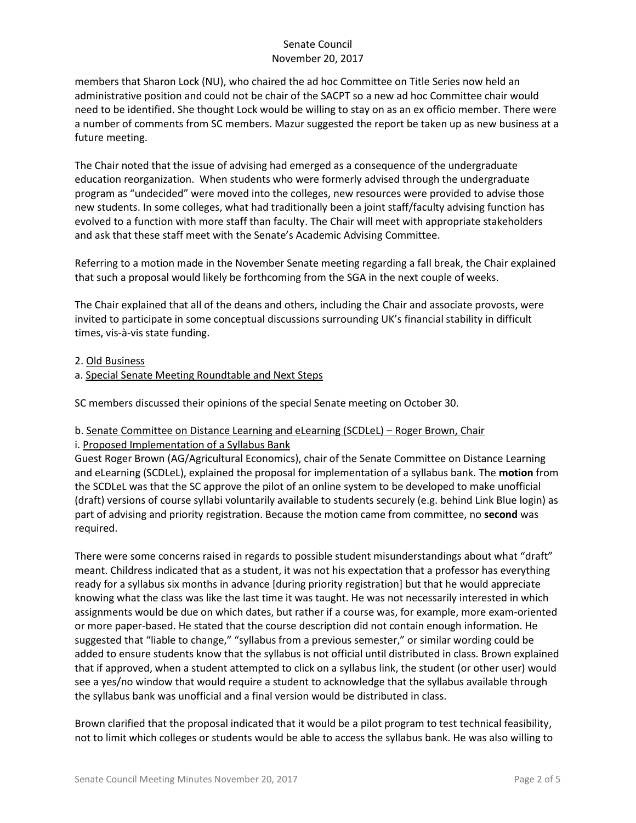members that Sharon Lock (NU), who chaired the ad hoc Committee on Title Series now held an administrative position and could not be chair of the SACPT so a new ad hoc Committee chair would need to be identified. She thought Lock would be willing to stay on as an ex officio member. There were a number of comments from SC members. Mazur suggested the report be taken up as new business at a future meeting.

The Chair noted that the issue of advising had emerged as a consequence of the undergraduate education reorganization. When students who were formerly advised through the undergraduate program as "undecided" were moved into the colleges, new resources were provided to advise those new students. In some colleges, what had traditionally been a joint staff/faculty advising function has evolved to a function with more staff than faculty. The Chair will meet with appropriate stakeholders and ask that these staff meet with the Senate's Academic Advising Committee.

Referring to a motion made in the November Senate meeting regarding a fall break, the Chair explained that such a proposal would likely be forthcoming from the SGA in the next couple of weeks.

The Chair explained that all of the deans and others, including the Chair and associate provosts, were invited to participate in some conceptual discussions surrounding UK's financial stability in difficult times, vis-à-vis state funding.

#### 2. Old Business

a. Special Senate Meeting Roundtable and Next Steps

SC members discussed their opinions of the special Senate meeting on October 30.

### b. Senate Committee on Distance Learning and eLearning (SCDLeL) – Roger Brown, Chair i. Proposed Implementation of a Syllabus Bank

Guest Roger Brown (AG/Agricultural Economics), chair of the Senate Committee on Distance Learning and eLearning (SCDLeL), explained the proposal for implementation of a syllabus bank. The **motion** from the SCDLeL was that the SC approve the pilot of an online system to be developed to make unofficial (draft) versions of course syllabi voluntarily available to students securely (e.g. behind Link Blue login) as part of advising and priority registration. Because the motion came from committee, no **second** was required.

There were some concerns raised in regards to possible student misunderstandings about what "draft" meant. Childress indicated that as a student, it was not his expectation that a professor has everything ready for a syllabus six months in advance [during priority registration] but that he would appreciate knowing what the class was like the last time it was taught. He was not necessarily interested in which assignments would be due on which dates, but rather if a course was, for example, more exam-oriented or more paper-based. He stated that the course description did not contain enough information. He suggested that "liable to change," "syllabus from a previous semester," or similar wording could be added to ensure students know that the syllabus is not official until distributed in class. Brown explained that if approved, when a student attempted to click on a syllabus link, the student (or other user) would see a yes/no window that would require a student to acknowledge that the syllabus available through the syllabus bank was unofficial and a final version would be distributed in class.

Brown clarified that the proposal indicated that it would be a pilot program to test technical feasibility, not to limit which colleges or students would be able to access the syllabus bank. He was also willing to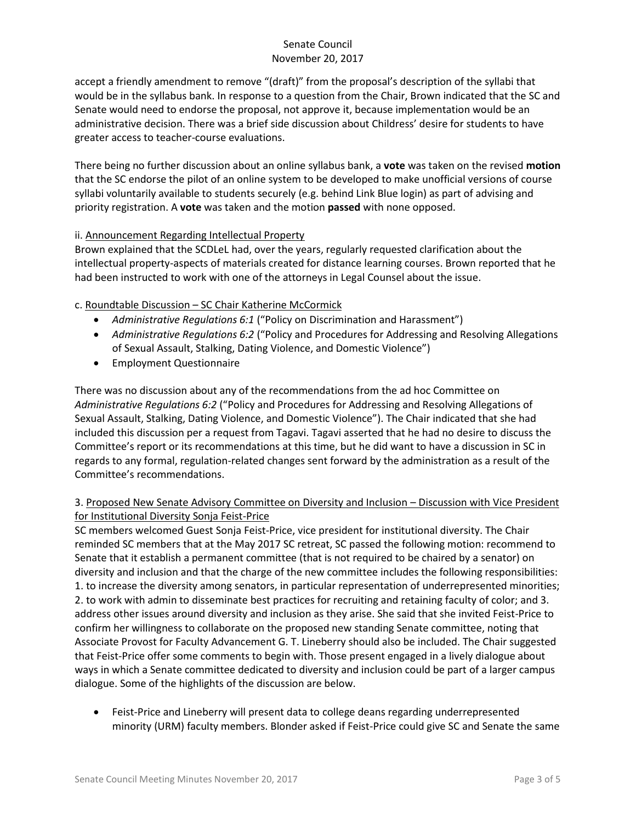accept a friendly amendment to remove "(draft)" from the proposal's description of the syllabi that would be in the syllabus bank. In response to a question from the Chair, Brown indicated that the SC and Senate would need to endorse the proposal, not approve it, because implementation would be an administrative decision. There was a brief side discussion about Childress' desire for students to have greater access to teacher-course evaluations.

There being no further discussion about an online syllabus bank, a **vote** was taken on the revised **motion** that the SC endorse the pilot of an online system to be developed to make unofficial versions of course syllabi voluntarily available to students securely (e.g. behind Link Blue login) as part of advising and priority registration. A **vote** was taken and the motion **passed** with none opposed.

## ii. Announcement Regarding Intellectual Property

Brown explained that the SCDLeL had, over the years, regularly requested clarification about the intellectual property-aspects of materials created for distance learning courses. Brown reported that he had been instructed to work with one of the attorneys in Legal Counsel about the issue.

# c. Roundtable Discussion – SC Chair Katherine McCormick

- *Administrative Regulations 6:1* ("Policy on Discrimination and Harassment")
- *Administrative Regulations 6:2* ("Policy and Procedures for Addressing and Resolving Allegations of Sexual Assault, Stalking, Dating Violence, and Domestic Violence")
- Employment Questionnaire

There was no discussion about any of the recommendations from the ad hoc Committee on *Administrative Regulations 6:2* ("Policy and Procedures for Addressing and Resolving Allegations of Sexual Assault, Stalking, Dating Violence, and Domestic Violence"). The Chair indicated that she had included this discussion per a request from Tagavi. Tagavi asserted that he had no desire to discuss the Committee's report or its recommendations at this time, but he did want to have a discussion in SC in regards to any formal, regulation-related changes sent forward by the administration as a result of the Committee's recommendations.

# 3. Proposed New Senate Advisory Committee on Diversity and Inclusion – Discussion with Vice President for Institutional Diversity Sonja Feist-Price

SC members welcomed Guest Sonja Feist-Price, vice president for institutional diversity. The Chair reminded SC members that at the May 2017 SC retreat, SC passed the following motion: recommend to Senate that it establish a permanent committee (that is not required to be chaired by a senator) on diversity and inclusion and that the charge of the new committee includes the following responsibilities: 1. to increase the diversity among senators, in particular representation of underrepresented minorities; 2. to work with admin to disseminate best practices for recruiting and retaining faculty of color; and 3. address other issues around diversity and inclusion as they arise. She said that she invited Feist-Price to confirm her willingness to collaborate on the proposed new standing Senate committee, noting that Associate Provost for Faculty Advancement G. T. Lineberry should also be included. The Chair suggested that Feist-Price offer some comments to begin with. Those present engaged in a lively dialogue about ways in which a Senate committee dedicated to diversity and inclusion could be part of a larger campus dialogue. Some of the highlights of the discussion are below.

 Feist-Price and Lineberry will present data to college deans regarding underrepresented minority (URM) faculty members. Blonder asked if Feist-Price could give SC and Senate the same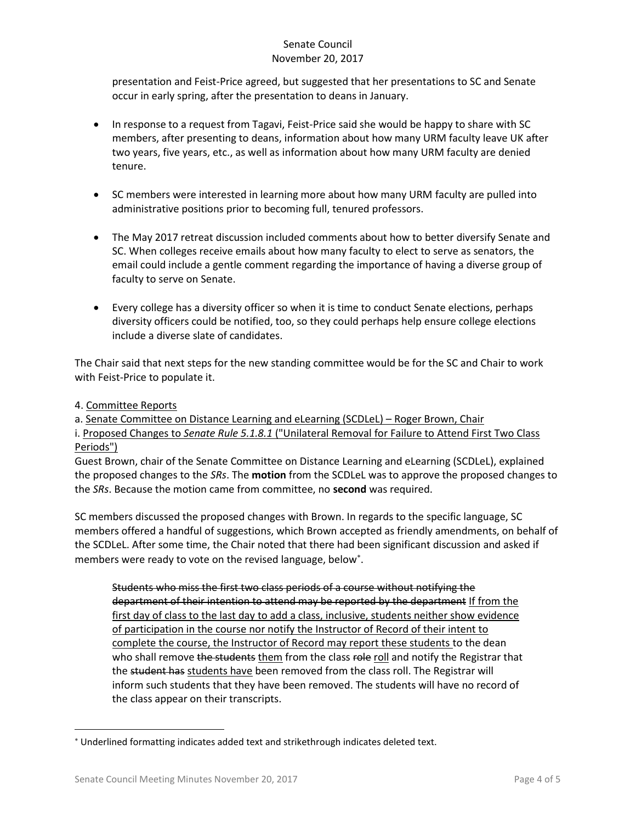presentation and Feist-Price agreed, but suggested that her presentations to SC and Senate occur in early spring, after the presentation to deans in January.

- In response to a request from Tagavi, Feist-Price said she would be happy to share with SC members, after presenting to deans, information about how many URM faculty leave UK after two years, five years, etc., as well as information about how many URM faculty are denied tenure.
- SC members were interested in learning more about how many URM faculty are pulled into administrative positions prior to becoming full, tenured professors.
- The May 2017 retreat discussion included comments about how to better diversify Senate and SC. When colleges receive emails about how many faculty to elect to serve as senators, the email could include a gentle comment regarding the importance of having a diverse group of faculty to serve on Senate.
- Every college has a diversity officer so when it is time to conduct Senate elections, perhaps diversity officers could be notified, too, so they could perhaps help ensure college elections include a diverse slate of candidates.

The Chair said that next steps for the new standing committee would be for the SC and Chair to work with Feist-Price to populate it.

## 4. Committee Reports

l

a. Senate Committee on Distance Learning and eLearning (SCDLeL) – Roger Brown, Chair i. Proposed Changes to *Senate Rule 5.1.8.1* ("Unilateral Removal for Failure to Attend First Two Class Periods")

Guest Brown, chair of the Senate Committee on Distance Learning and eLearning (SCDLeL), explained the proposed changes to the *SRs*. The **motion** from the SCDLeL was to approve the proposed changes to the *SRs*. Because the motion came from committee, no **second** was required.

SC members discussed the proposed changes with Brown. In regards to the specific language, SC members offered a handful of suggestions, which Brown accepted as friendly amendments, on behalf of the SCDLeL. After some time, the Chair noted that there had been significant discussion and asked if members were ready to vote on the revised language, below .

Students who miss the first two class periods of a course without notifying the department of their intention to attend may be reported by the department If from the first day of class to the last day to add a class, inclusive, students neither show evidence of participation in the course nor notify the Instructor of Record of their intent to complete the course, the Instructor of Record may report these students to the dean who shall remove the students them from the class role roll and notify the Registrar that the student has students have been removed from the class roll. The Registrar will inform such students that they have been removed. The students will have no record of the class appear on their transcripts.

Underlined formatting indicates added text and strikethrough indicates deleted text.